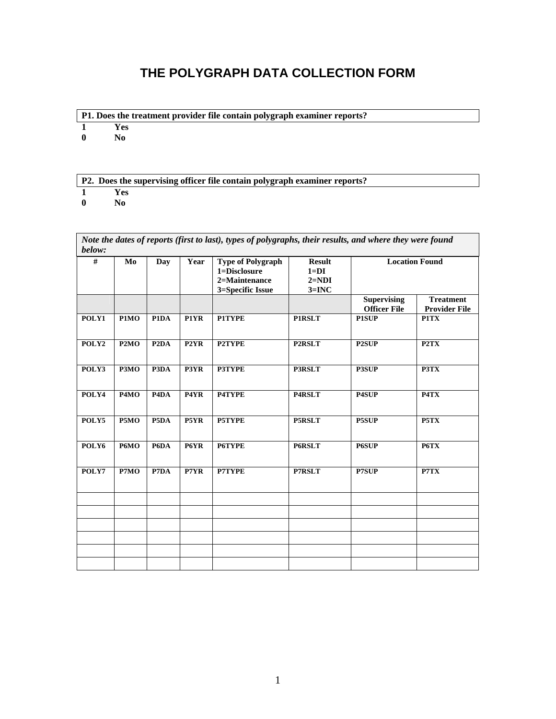# **THE POLYGRAPH DATA COLLECTION FORM**

- **P1. Does the treatment provider file contain polygraph examiner reports?**
- **1 Yes**
- **0 No**

### **P2. Does the supervising officer file contain polygraph examiner reports?**

- **1 Yes**
- **0 No**

|        |                   |                               |                   | Note the dates of reports (first to last), types of polygraphs, their results, and where they were found |                                               |                                           |                                          |
|--------|-------------------|-------------------------------|-------------------|----------------------------------------------------------------------------------------------------------|-----------------------------------------------|-------------------------------------------|------------------------------------------|
| below: |                   |                               |                   |                                                                                                          |                                               |                                           |                                          |
| #      | Mo                | Day                           | Year              | <b>Type of Polygraph</b><br>1=Disclosure<br>2=Maintenance<br>3=Specific Issue                            | <b>Result</b><br>$1=DI$<br>$2=NDI$<br>$3=INC$ |                                           | <b>Location Found</b>                    |
|        |                   |                               |                   |                                                                                                          |                                               | <b>Supervising</b><br><b>Officer File</b> | <b>Treatment</b><br><b>Provider File</b> |
| POLY1  | P1MO              | P1DA                          | P1YR              | <b>P1TYPE</b>                                                                                            | <b>PIRSLT</b>                                 | <b>P1SUP</b>                              | P1TX                                     |
| POLY2  | P <sub>2</sub> MO | P <sub>2</sub> D <sub>A</sub> | P <sub>2</sub> YR | <b>P2TYPE</b>                                                                                            | <b>P2RSLT</b>                                 | P2SUP                                     | P <sub>2</sub> T <sub>X</sub>            |
| POLY3  | P3MO              | P3DA                          | P3YR              | P3TYPE                                                                                                   | <b>P3RSLT</b>                                 | P3SUP                                     | P3TX                                     |
| POLY4  | P <sub>4</sub> MO | P4DA                          | P4YR              | P4TYPE                                                                                                   | P4RSLT                                        | P4SUP                                     | P4TX                                     |
| POLY5  | P5MO              | P5DA                          | P5YR              | P5TYPE                                                                                                   | P5RSLT                                        | P5SUP                                     | P5TX                                     |
| POLY6  | P6MO              | P6DA                          | P6YR              | P6TYPE                                                                                                   | P6RSLT                                        | P6SUP                                     | P6TX                                     |
| POLY7  | P7MO              | P <sub>7</sub> DA             | P7YR              | <b>P7TYPE</b>                                                                                            | P7RSLT                                        | P7SUP                                     | P7TX                                     |
|        |                   |                               |                   |                                                                                                          |                                               |                                           |                                          |
|        |                   |                               |                   |                                                                                                          |                                               |                                           |                                          |
|        |                   |                               |                   |                                                                                                          |                                               |                                           |                                          |
|        |                   |                               |                   |                                                                                                          |                                               |                                           |                                          |
|        |                   |                               |                   |                                                                                                          |                                               |                                           |                                          |
|        |                   |                               |                   |                                                                                                          |                                               |                                           |                                          |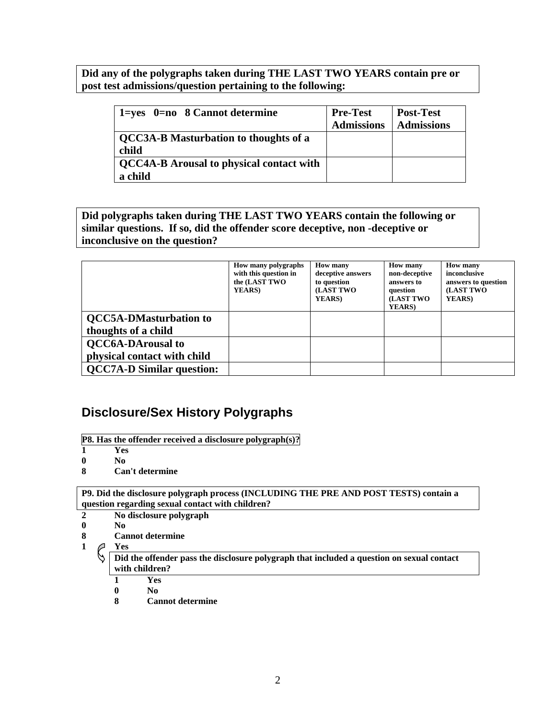**Did any of the polygraphs taken during THE LAST TWO YEARS contain pre or post test admissions/question pertaining to the following:** 

| $\vert$ 1=yes 0=no 8 Cannot determine               | <b>Pre-Test</b><br><b>Admissions</b> | <b>Post-Test</b><br><b>Admissions</b> |
|-----------------------------------------------------|--------------------------------------|---------------------------------------|
| QCC3A-B Masturbation to thoughts of a<br>child      |                                      |                                       |
| QCC4A-B Arousal to physical contact with<br>a child |                                      |                                       |

**Did polygraphs taken during THE LAST TWO YEARS contain the following or similar questions. If so, did the offender score deceptive, non -deceptive or inconclusive on the question?** 

|                                  | <b>How many polygraphs</b><br>with this question in<br>the (LAST TWO<br><b>YEARS</b> ) | <b>How many</b><br>deceptive answers<br>to question<br>(LAST TWO<br><b>YEARS</b> ) | <b>How many</b><br>non-deceptive<br>answers to<br>question<br>(LAST TWO<br><b>YEARS</b> ) | <b>How many</b><br>inconclusive<br>answers to question<br>(LAST TWO<br><b>YEARS</b> ) |
|----------------------------------|----------------------------------------------------------------------------------------|------------------------------------------------------------------------------------|-------------------------------------------------------------------------------------------|---------------------------------------------------------------------------------------|
| <b>QCC5A-DMasturbation to</b>    |                                                                                        |                                                                                    |                                                                                           |                                                                                       |
| thoughts of a child              |                                                                                        |                                                                                    |                                                                                           |                                                                                       |
| <b>QCC6A-DArousal to</b>         |                                                                                        |                                                                                    |                                                                                           |                                                                                       |
| physical contact with child      |                                                                                        |                                                                                    |                                                                                           |                                                                                       |
| <b>QCC7A-D Similar question:</b> |                                                                                        |                                                                                    |                                                                                           |                                                                                       |

# **Disclosure/Sex History Polygraphs**

**P8. Has the offender received a disclosure polygraph(s)?**

**1 Yes** 

**0 No**

**8 Can't determine** 

**P9. Did the disclosure polygraph process (INCLUDING THE PRE AND POST TESTS) contain a question regarding sexual contact with children?** 

- **2 No disclosure polygraph**
- **0 No**
	- **8 Cannot determine**
- **1 Yes**

**Did the offender pass the disclosure polygraph that included a question on sexual contact with children?** 

 **1 Yes** 

 **0 No**

**Cannot determine**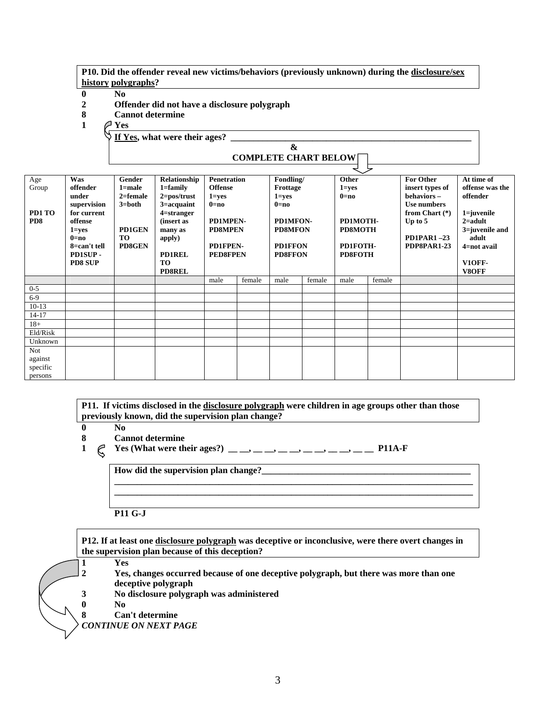#### **P10. Did the offender reveal new victims/behaviors (previously unknown) during the disclosure/sex history polygraphs?**

- **0 No 2 Offender did not have a disclosure polygraph**
- **8 Cannot determine**
- $\mathbf{1}_{\mathbf{V}_{\alpha\alpha}}$

| l es                        |                               |                    |           |              |                  |            |  |  |  |  |
|-----------------------------|-------------------------------|--------------------|-----------|--------------|------------------|------------|--|--|--|--|
|                             | If Yes, what were their ages? |                    |           |              |                  |            |  |  |  |  |
|                             |                               |                    |           |              |                  |            |  |  |  |  |
| <b>COMPLETE CHART BELOW</b> |                               |                    |           |              |                  |            |  |  |  |  |
|                             |                               |                    |           |              |                  |            |  |  |  |  |
| Gender                      | Relationship                  | <b>Penetration</b> | Fondling/ | <b>Other</b> | <b>For Other</b> | At time of |  |  |  |  |
| 1=male                      | $1 = \text{family}$           | <b>Offense</b>     | Frottage  | $1 = v e s$  | insert types of  | offense wa |  |  |  |  |
| - -                         |                               |                    |           |              |                  |            |  |  |  |  |

| Age                         | Was          | Gender        | Relationship          | <b>Penetration</b> |        | Fondling/      |        | Other     |        | <b>For Other</b> | At time of      |
|-----------------------------|--------------|---------------|-----------------------|--------------------|--------|----------------|--------|-----------|--------|------------------|-----------------|
| Group                       | offender     | $1 = male$    | $1 = family$          | <b>Offense</b>     |        | Frottage       |        | $1 = yes$ |        | insert types of  | offense was the |
|                             | under        | $2 =$ female  | $2 = pos/trust$       | $1 = yes$          |        | $1 = yes$      |        |           |        | behaviors -      | offender        |
|                             | supervision  | $3 = both$    | $3 = \text{acquaint}$ | $0=$ no            |        | $0=no$         |        |           |        | Use numbers      |                 |
| PD1 TO                      | for current  |               | $4$ =stranger         |                    |        |                |        |           |        | from Chart $(*)$ | $1 = juvenile$  |
| P <sub>D</sub> <sup>8</sup> | offense      |               | (insert as            | PD1MPEN-           |        | PD1MFON-       |        | PD1MOTH-  |        | Up to $5$        | $2 = adult$     |
|                             | $1 = yes$    | <b>PD1GEN</b> | many as               | <b>PD8MPEN</b>     |        | <b>PD8MFON</b> |        | PD8MOTH   |        |                  | 3=juvenile and  |
|                             | $0=$ no      | <b>TO</b>     | apply)                |                    |        |                |        |           |        | $PD1PAR1 - 23$   | adult           |
|                             | 8=can't tell | PD8GEN        |                       | PD1FPEN-           |        | <b>PD1FFON</b> |        | PD1FOTH-  |        | PDP8PAR1-23      | 4=not avail     |
|                             | PD1SUP-      |               | <b>PD1REL</b>         | <b>PED8FPEN</b>    |        | <b>PD8FFON</b> |        | PD8FOTH   |        |                  |                 |
|                             | PD8 SUP      |               | <b>TO</b>             |                    |        |                |        |           |        |                  | V1OFF-          |
|                             |              |               | <b>PD8REL</b>         |                    |        |                |        |           |        |                  | V8OFF           |
|                             |              |               |                       | male               | female | male           | female | male      | female |                  |                 |
| $0 - 5$                     |              |               |                       |                    |        |                |        |           |        |                  |                 |
| $6-9$                       |              |               |                       |                    |        |                |        |           |        |                  |                 |
| $10-13$                     |              |               |                       |                    |        |                |        |           |        |                  |                 |
| $14 - 17$                   |              |               |                       |                    |        |                |        |           |        |                  |                 |
| $18+$                       |              |               |                       |                    |        |                |        |           |        |                  |                 |
| Eld/Risk                    |              |               |                       |                    |        |                |        |           |        |                  |                 |
| Unknown                     |              |               |                       |                    |        |                |        |           |        |                  |                 |
| Not                         |              |               |                       |                    |        |                |        |           |        |                  |                 |
| against                     |              |               |                       |                    |        |                |        |           |        |                  |                 |
| specific                    |              |               |                       |                    |        |                |        |           |        |                  |                 |
| persons                     |              |               |                       |                    |        |                |        |           |        |                  |                 |

#### **P11. If victims disclosed in the disclosure polygraph were children in age groups other than those previously known, did the supervision plan change?**

**0 No**

- **8** Cannot determine<br>**1**  $\in$  Yes (What were the
	- $\textcircled{c}$  Yes (What were their ages?) \_\_\_,\_\_,\_\_,\_\_,\_\_,\_\_,\_\_\_,\_\_\_P11A-F

| How did the supervision plan change? |  |
|--------------------------------------|--|
|                                      |  |
|                                      |  |
| <b>P11 G.I</b>                       |  |

**P12. If at least one disclosure polygraph was deceptive or inconclusive, were there overt changes in the supervision plan because of this deception?**

**1 Yes** 

**2 Yes, changes occurred because of one deceptive polygraph, but there was more than one deceptive polygraph** 

- **3 No disclosure polygraph was administered**
- **0 No**
- **8 Can't determine**

*CONTINUE ON NEXT PAGE*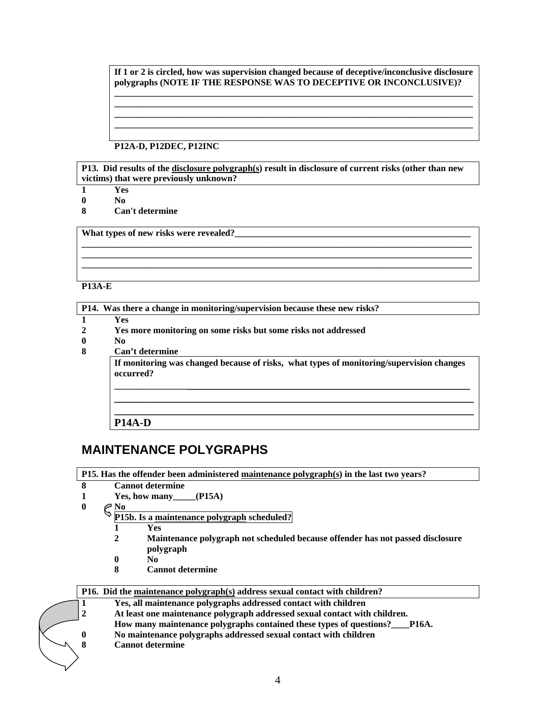**If 1 or 2 is circled, how was supervision changed because of deceptive/inconclusive disclosure polygraphs (NOTE IF THE RESPONSE WAS TO DECEPTIVE OR INCONCLUSIVE)? \_\_\_\_\_\_\_\_\_\_\_\_\_\_\_\_\_\_\_\_\_\_\_\_\_\_\_\_\_\_\_\_\_\_\_\_\_\_\_\_\_\_\_\_\_\_\_\_\_\_\_\_\_\_\_\_\_\_\_\_\_\_\_\_\_\_\_\_\_\_\_\_\_\_\_\_\_\_\_**

**\_\_\_\_\_\_\_\_\_\_\_\_\_\_\_\_\_\_\_\_\_\_\_\_\_\_\_\_\_\_\_\_\_\_\_\_\_\_\_\_\_\_\_\_\_\_\_\_\_\_\_\_\_\_\_\_\_\_\_\_\_\_\_\_\_\_\_\_\_\_\_\_\_\_\_\_\_\_\_ \_\_\_\_\_\_\_\_\_\_\_\_\_\_\_\_\_\_\_\_\_\_\_\_\_\_\_\_\_\_\_\_\_\_\_\_\_\_\_\_\_\_\_\_\_\_\_\_\_\_\_\_\_\_\_\_\_\_\_\_\_\_\_\_\_\_\_\_\_\_\_\_\_\_\_\_\_\_\_ \_\_\_\_\_\_\_\_\_\_\_\_\_\_\_\_\_\_\_\_\_\_\_\_\_\_\_\_\_\_\_\_\_\_\_\_\_\_\_\_\_\_\_\_\_\_\_\_\_\_\_\_\_\_\_\_\_\_\_\_\_\_\_\_\_\_\_\_\_\_\_\_\_\_\_\_\_\_\_**

**P12A-D, P12DEC, P12INC**

**P13. Did results of the disclosure polygraph(s) result in disclosure of current risks (other than new victims) that were previously unknown?** 

**\_\_\_\_\_\_\_\_\_\_\_\_\_\_\_\_\_\_\_\_\_\_\_\_\_\_\_\_\_\_\_\_\_\_\_\_\_\_\_\_\_\_\_\_\_\_\_\_\_\_\_\_\_\_\_\_\_\_\_\_\_\_\_\_\_\_\_\_\_\_\_\_\_\_\_\_\_\_\_\_\_\_\_\_\_\_ \_\_\_\_\_\_\_\_\_\_\_\_\_\_\_\_\_\_\_\_\_\_\_\_\_\_\_\_\_\_\_\_\_\_\_\_\_\_\_\_\_\_\_\_\_\_\_\_\_\_\_\_\_\_\_\_\_\_\_\_\_\_\_\_\_\_\_\_\_\_\_\_\_\_\_\_\_\_\_\_\_\_\_\_\_\_ \_\_\_\_\_\_\_\_\_\_\_\_\_\_\_\_\_\_\_\_\_\_\_\_\_\_\_\_\_\_\_\_\_\_\_\_\_\_\_\_\_\_\_\_\_\_\_\_\_\_\_\_\_\_\_\_\_\_\_\_\_\_\_\_\_\_\_\_\_\_\_\_\_\_\_\_\_\_\_\_\_\_\_\_\_\_**

- **1 Yes**
- **0 No**
- **8 Can't determine**

What types of new risks were revealed?\_

**P13A-E** 

**P14. Was there a change in monitoring/supervision because these new risks?** 

- **1 Yes**
- **2 Yes more monitoring on some risks but some risks not addressed**
- **0 No**
- **8 Can't determine**

**If monitoring was changed because of risks, what types of monitoring/supervision changes occurred?** 

**\_\_\_\_\_\_\_\_\_\_\_\_\_\_\_\_\_\_\_\_\_\_\_\_\_\_\_\_\_\_\_\_\_\_\_\_\_\_\_\_\_\_\_\_\_\_\_\_\_\_\_\_\_\_\_\_\_\_\_\_\_\_\_\_\_\_\_\_ \_\_\_\_\_\_\_\_\_\_\_\_\_\_\_\_\_\_\_\_\_\_\_\_\_\_\_\_\_\_\_\_\_\_\_\_\_\_\_\_\_\_\_\_\_\_\_\_\_\_\_\_\_\_\_\_\_\_\_\_\_\_\_\_\_\_ \_\_\_\_\_\_\_\_\_\_\_\_\_\_\_\_\_\_\_\_\_\_\_\_\_\_\_\_\_\_\_\_\_\_\_\_\_\_\_\_\_\_\_\_\_\_\_\_\_\_\_\_\_\_\_\_\_\_\_\_\_\_\_\_\_\_** 

**P14A-D** 

# **MAINTENANCE POLYGRAPHS**

**P15. Has the offender been administered maintenance polygraph(s) in the last two years?** 

- **8 Cannot determine**
- 1 Yes, how many (P15A)
- $\bigcirc$   $\bigcirc$   $\frac{N_0}{n_1}$ 
	- **P15b. Is a maintenance polygraph scheduled?**
	- **1 Yes**
	- **2 Maintenance polygraph not scheduled because offender has not passed disclosure polygraph**
	- **0 No**
	- **8 Cannot determine**

|              | P16. Did the maintenance polygraph(s) address sexual contact with children?         |
|--------------|-------------------------------------------------------------------------------------|
|              | Yes, all maintenance polygraphs addressed contact with children                     |
|              | At least one maintenance polygraph addressed sexual contact with children.          |
|              | How many maintenance polygraphs contained these types of questions?<br><b>P16A.</b> |
| $\mathbf{0}$ | No maintenance polygraphs addressed sexual contact with children                    |
|              | <b>Cannot determine</b>                                                             |
|              |                                                                                     |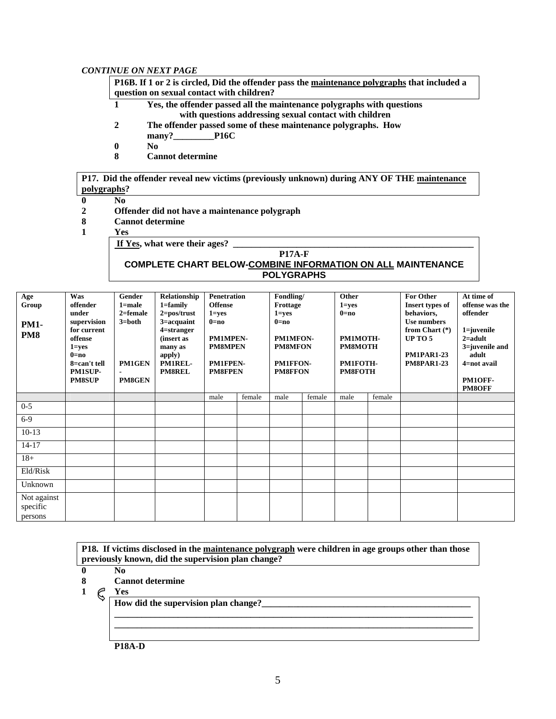#### *CONTINUE ON NEXT PAGE*

**P16B. If 1 or 2 is circled, Did the offender pass the maintenance polygraphs that included a question on sexual contact with children?** 

- **1 Yes, the offender passed all the maintenance polygraphs with questions** with questions addressing sexual contact with children<br> **2** The offender passed some of these maintenance polygraphs. Ho
- The offender passed some of these maintenance polygraphs. How many? P16C many?
- 
- **0 No**
- **8 Cannot determine**

**P17. Did the offender reveal new victims (previously unknown) during ANY OF THE maintenance polygraphs?** 

- 
- **0 No 2 Offender did not have a maintenance polygraph**
- **8 Cannot determine** 
	- **1 Yes**

**If Yes, what were their ages?** 

**P17A-F COMPLETE CHART BELOW-COMBINE INFORMATION ON ALL MAINTENANCE POLYGRAPHS** 

| Age<br>Group<br><b>PM1-</b><br>PM8 | Was<br>offender<br>under<br>supervision<br>for current<br>offense<br>$1 = yes$<br>$0=no$<br>8=can't tell<br>PM1SUP-<br><b>PM8SUP</b> | Gender<br>$1 = male$<br>2=female<br>$3 = both$<br><b>PM1GEN</b><br>PM8GEN | Relationship<br>$1 = family$<br>$2 = pos/trust$<br>$3 = \text{acquaint}$<br>4=stranger<br>(insert as<br>many as<br>apply)<br>PM1REL-<br><b>PM8REL</b> | Penetration<br><b>Offense</b><br>$1 = yes$<br>$0=no$<br>PM1MPEN-<br><b>PM8MPEN</b><br><b>PM1FPEN-</b><br><b>PM8FPEN</b> |        | Fondling/<br>Frottage<br>$1 = yes$<br>$0=no$<br>PM1MFON-<br><b>PM8MFON</b><br><b>PM1FFON-</b><br><b>PM8FFON</b> |        | Other<br>$1 = yes$<br>$0=no$<br>PM1MOTH-<br>PM8MOTH<br>PM1FOTH-<br><b>PM8FOTH</b> |        | For Other<br>Insert types of<br>behaviors,<br><b>Use numbers</b><br>from Chart $(*)$<br>UP TO 5<br><b>PM1PAR1-23</b><br><b>PM8PAR1-23</b> | At time of<br>offense was the<br>offender<br>$1 =$ juvenile<br>$2 =$ adult<br>3=juvenile and<br>adult<br>4=not avail<br>PM1OFF-<br>PM8OFF |
|------------------------------------|--------------------------------------------------------------------------------------------------------------------------------------|---------------------------------------------------------------------------|-------------------------------------------------------------------------------------------------------------------------------------------------------|-------------------------------------------------------------------------------------------------------------------------|--------|-----------------------------------------------------------------------------------------------------------------|--------|-----------------------------------------------------------------------------------|--------|-------------------------------------------------------------------------------------------------------------------------------------------|-------------------------------------------------------------------------------------------------------------------------------------------|
|                                    |                                                                                                                                      |                                                                           |                                                                                                                                                       | male                                                                                                                    | female | male                                                                                                            | female | male                                                                              | female |                                                                                                                                           |                                                                                                                                           |
| $0 - 5$                            |                                                                                                                                      |                                                                           |                                                                                                                                                       |                                                                                                                         |        |                                                                                                                 |        |                                                                                   |        |                                                                                                                                           |                                                                                                                                           |
| $6-9$                              |                                                                                                                                      |                                                                           |                                                                                                                                                       |                                                                                                                         |        |                                                                                                                 |        |                                                                                   |        |                                                                                                                                           |                                                                                                                                           |
| $10-13$                            |                                                                                                                                      |                                                                           |                                                                                                                                                       |                                                                                                                         |        |                                                                                                                 |        |                                                                                   |        |                                                                                                                                           |                                                                                                                                           |
| $14 - 17$                          |                                                                                                                                      |                                                                           |                                                                                                                                                       |                                                                                                                         |        |                                                                                                                 |        |                                                                                   |        |                                                                                                                                           |                                                                                                                                           |
| $18+$                              |                                                                                                                                      |                                                                           |                                                                                                                                                       |                                                                                                                         |        |                                                                                                                 |        |                                                                                   |        |                                                                                                                                           |                                                                                                                                           |
| Eld/Risk                           |                                                                                                                                      |                                                                           |                                                                                                                                                       |                                                                                                                         |        |                                                                                                                 |        |                                                                                   |        |                                                                                                                                           |                                                                                                                                           |
| Unknown                            |                                                                                                                                      |                                                                           |                                                                                                                                                       |                                                                                                                         |        |                                                                                                                 |        |                                                                                   |        |                                                                                                                                           |                                                                                                                                           |
| Not against<br>specific<br>persons |                                                                                                                                      |                                                                           |                                                                                                                                                       |                                                                                                                         |        |                                                                                                                 |        |                                                                                   |        |                                                                                                                                           |                                                                                                                                           |

|   | P18. If victims disclosed in the maintenance polygraph were children in age groups other than those<br>previously known, did the supervision plan change? |
|---|-----------------------------------------------------------------------------------------------------------------------------------------------------------|
| 0 | No                                                                                                                                                        |
| 8 | <b>Cannot determine</b><br>Yes                                                                                                                            |
|   | How did the supervision plan change?                                                                                                                      |
|   |                                                                                                                                                           |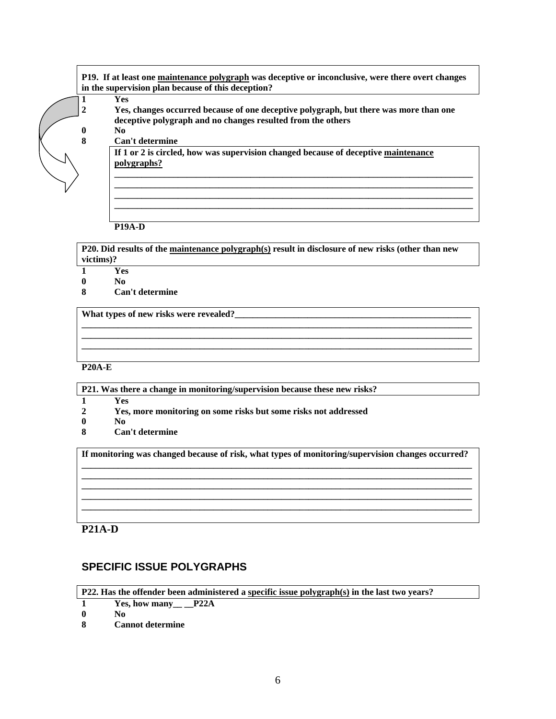|              |     | P19. If at least one maintenance polygraph was deceptive or inconclusive, were there overt changes |
|--------------|-----|----------------------------------------------------------------------------------------------------|
|              |     | in the supervision plan because of this deception?                                                 |
| $\mathbf{1}$ | Yes |                                                                                                    |

**2 Yes, changes occurred because of one deceptive polygraph, but there was more than one deceptive polygraph and no changes resulted from the others** 

**0 No 8 Can't determine** 

> **If 1 or 2 is circled, how was supervision changed because of deceptive maintenance polygraphs?**

**\_\_\_\_\_\_\_\_\_\_\_\_\_\_\_\_\_\_\_\_\_\_\_\_\_\_\_\_\_\_\_\_\_\_\_\_\_\_\_\_\_\_\_\_\_\_\_\_\_\_\_\_\_\_\_\_\_\_\_\_\_\_\_\_\_\_\_\_\_\_\_\_\_\_\_\_\_\_\_ \_\_\_\_\_\_\_\_\_\_\_\_\_\_\_\_\_\_\_\_\_\_\_\_\_\_\_\_\_\_\_\_\_\_\_\_\_\_\_\_\_\_\_\_\_\_\_\_\_\_\_\_\_\_\_\_\_\_\_\_\_\_\_\_\_\_\_\_\_\_\_\_\_\_\_\_\_\_\_ \_\_\_\_\_\_\_\_\_\_\_\_\_\_\_\_\_\_\_\_\_\_\_\_\_\_\_\_\_\_\_\_\_\_\_\_\_\_\_\_\_\_\_\_\_\_\_\_\_\_\_\_\_\_\_\_\_\_\_\_\_\_\_\_\_\_\_\_\_\_\_\_\_\_\_\_\_\_\_ \_\_\_\_\_\_\_\_\_\_\_\_\_\_\_\_\_\_\_\_\_\_\_\_\_\_\_\_\_\_\_\_\_\_\_\_\_\_\_\_\_\_\_\_\_\_\_\_\_\_\_\_\_\_\_\_\_\_\_\_\_\_\_\_\_\_\_\_\_\_\_\_\_\_\_\_\_\_\_**

 **P19A-D** 

**P20. Did results of the maintenance polygraph(s) result in disclosure of new risks (other than new victims)?** 

**\_\_\_\_\_\_\_\_\_\_\_\_\_\_\_\_\_\_\_\_\_\_\_\_\_\_\_\_\_\_\_\_\_\_\_\_\_\_\_\_\_\_\_\_\_\_\_\_\_\_\_\_\_\_\_\_\_\_\_\_\_\_\_\_\_\_\_\_\_\_\_\_\_\_\_\_\_\_\_\_\_\_\_\_\_\_ \_\_\_\_\_\_\_\_\_\_\_\_\_\_\_\_\_\_\_\_\_\_\_\_\_\_\_\_\_\_\_\_\_\_\_\_\_\_\_\_\_\_\_\_\_\_\_\_\_\_\_\_\_\_\_\_\_\_\_\_\_\_\_\_\_\_\_\_\_\_\_\_\_\_\_\_\_\_\_\_\_\_\_\_\_\_ \_\_\_\_\_\_\_\_\_\_\_\_\_\_\_\_\_\_\_\_\_\_\_\_\_\_\_\_\_\_\_\_\_\_\_\_\_\_\_\_\_\_\_\_\_\_\_\_\_\_\_\_\_\_\_\_\_\_\_\_\_\_\_\_\_\_\_\_\_\_\_\_\_\_\_\_\_\_\_\_\_\_\_\_\_\_**

- **1 Yes**
- **0 No**
- **8 Can't determine**

What *types* of new risks were revealed?

**P20A-E** 

**P21. Was there a change in monitoring/supervision because these new risks?** 

- **1 Yes**
- **2 Yes, more monitoring on some risks but some risks not addressed**
- **0 No**
- **8 Can't determine**

**If monitoring was changed because of risk, what types of monitoring/supervision changes occurred? \_\_\_\_\_\_\_\_\_\_\_\_\_\_\_\_\_\_\_\_\_\_\_\_\_\_\_\_\_\_\_\_\_\_\_\_\_\_\_\_\_\_\_\_\_\_\_\_\_\_\_\_\_\_\_\_\_\_\_\_\_\_\_\_\_\_\_\_\_\_\_\_\_\_\_\_\_\_\_\_\_\_\_\_\_\_**

**\_\_\_\_\_\_\_\_\_\_\_\_\_\_\_\_\_\_\_\_\_\_\_\_\_\_\_\_\_\_\_\_\_\_\_\_\_\_\_\_\_\_\_\_\_\_\_\_\_\_\_\_\_\_\_\_\_\_\_\_\_\_\_\_\_\_\_\_\_\_\_\_\_\_\_\_\_\_\_\_\_\_\_\_\_\_ \_\_\_\_\_\_\_\_\_\_\_\_\_\_\_\_\_\_\_\_\_\_\_\_\_\_\_\_\_\_\_\_\_\_\_\_\_\_\_\_\_\_\_\_\_\_\_\_\_\_\_\_\_\_\_\_\_\_\_\_\_\_\_\_\_\_\_\_\_\_\_\_\_\_\_\_\_\_\_\_\_\_\_\_\_\_ \_\_\_\_\_\_\_\_\_\_\_\_\_\_\_\_\_\_\_\_\_\_\_\_\_\_\_\_\_\_\_\_\_\_\_\_\_\_\_\_\_\_\_\_\_\_\_\_\_\_\_\_\_\_\_\_\_\_\_\_\_\_\_\_\_\_\_\_\_\_\_\_\_\_\_\_\_\_\_\_\_\_\_\_\_\_ \_\_\_\_\_\_\_\_\_\_\_\_\_\_\_\_\_\_\_\_\_\_\_\_\_\_\_\_\_\_\_\_\_\_\_\_\_\_\_\_\_\_\_\_\_\_\_\_\_\_\_\_\_\_\_\_\_\_\_\_\_\_\_\_\_\_\_\_\_\_\_\_\_\_\_\_\_\_\_\_\_\_\_\_\_\_**

#### **P21A-D**

## **SPECIFIC ISSUE POLYGRAPHS**

**P22. Has the offender been administered a specific issue polygraph(s) in the last two years?** 

- 1 Yes, how many P22A
- **0 No**
- **8 Cannot determine**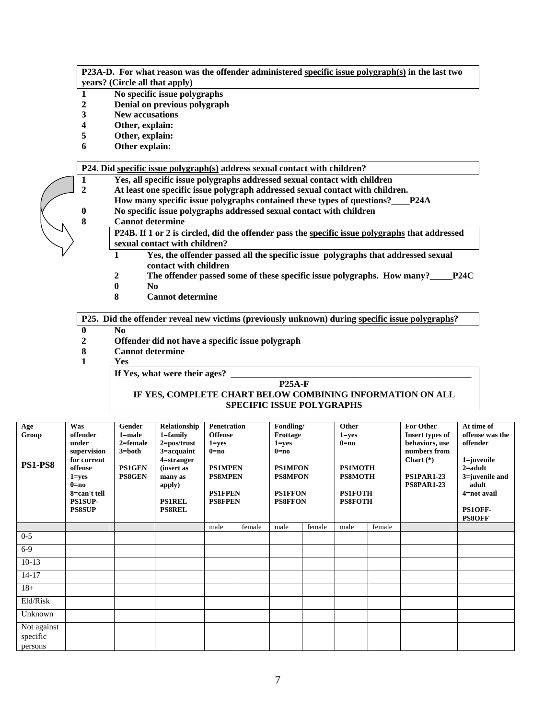#### **P23A-D. For what reason was the offender administered specific issue polygraph(s) in the last two years? (Circle all that apply)**

- **1 No specific issue polygraphs**
- **2 Denial on previous polygraph**
- **3 New accusations**
- **4 Other, explain:**
- **5 Other, explain:**
- **6 Other explain:**

#### **P24. Did specific issue polygraph(s) address sexual contact with children?**

|                  | Yes, all specific issue polygraphs addressed sexual contact with children                             |
|------------------|-------------------------------------------------------------------------------------------------------|
|                  | At least one specific issue polygraph addressed sexual contact with children.                         |
|                  | How many specific issue polygraphs contained these types of questions?____P24A                        |
| $\boldsymbol{0}$ | No specific issue polygraphs addressed sexual contact with children                                   |
| 8                | <b>Cannot determine</b>                                                                               |
|                  | P24B. If 1 or 2 is circled, did the offender pass the specific issue polygraphs that addressed        |
|                  | sexual contact with children?                                                                         |
|                  | Yes, the offender passed all the specific issue polygraphs that addressed sexual                      |
|                  | contact with children                                                                                 |
|                  | The offender passed some of these specific issue polygraphs. How many?<br>$\mathbf{2}$<br><b>P24C</b> |

- 
- **0 No Cannot determine**

#### **P25. Did the offender reveal new victims (previously unknown) during specific issue polygraphs?**

- **0 No**
- **2 Offender did not have a specific issue polygraph**
- **8 Cannot determine**
- **1 Yes**

**If Yes, what were their ages?** 

#### **P25A-F**

#### **IF YES, COMPLETE CHART BELOW COMBINING INFORMATION ON ALL SPECIFIC ISSUE POLYGRAPHS**

| Age<br>Group<br><b>PS1-PS8</b>     | Was<br>offender<br>under<br>supervision<br>for current<br>offense<br>$1 = yes$<br>$0=$ no<br>8=can't tell<br>PS1SUP-<br><b>PS8SUP</b> | Gender<br>1=male<br>$2 =$ female<br>$3 = both$<br><b>PS1GEN</b><br><b>PS8GEN</b> | Relationship<br>1=family<br>$2 = pos/trust$<br>$3 = \text{acquaint}$<br>$4 =$ stranger<br>(insert as<br>many as<br>apply)<br><b>PS1REL</b><br><b>PS8REL</b> | <b>Penetration</b><br><b>Offense</b><br>$1 = yes$<br>$0=no$<br><b>PS1MPEN</b><br><b>PS8MPEN</b><br><b>PS1FPEN</b><br><b>PS8FPEN</b> |        | Frottage<br>$1 = yes$<br>$0=no$ | Other<br>Fondling/<br>$1 = yes$<br>$0=no$<br><b>PS1MOTH</b><br><b>PS1MFON</b><br><b>PS8MFON</b><br><b>PS8MOTH</b><br><b>PS1FFON</b><br><b>PS1FOTH</b><br><b>PS8FFON</b><br><b>PS8FOTH</b> |      | <b>For Other</b><br><b>Insert types of</b><br>behaviors, use<br>numbers from<br>Chart $(*)$<br><b>PS1PAR1-23</b><br><b>PS8PAR1-23</b> | At time of<br>offense was the<br>offender<br>1=juvenile<br>$2 =$ adult<br>3=juvenile and<br>adult<br>4=not avail<br>PS1OFF-<br><b>PS8OFF</b> |  |
|------------------------------------|---------------------------------------------------------------------------------------------------------------------------------------|----------------------------------------------------------------------------------|-------------------------------------------------------------------------------------------------------------------------------------------------------------|-------------------------------------------------------------------------------------------------------------------------------------|--------|---------------------------------|-------------------------------------------------------------------------------------------------------------------------------------------------------------------------------------------|------|---------------------------------------------------------------------------------------------------------------------------------------|----------------------------------------------------------------------------------------------------------------------------------------------|--|
|                                    |                                                                                                                                       |                                                                                  |                                                                                                                                                             | male                                                                                                                                | female | male                            | female                                                                                                                                                                                    | male | female                                                                                                                                |                                                                                                                                              |  |
| $0 - 5$                            |                                                                                                                                       |                                                                                  |                                                                                                                                                             |                                                                                                                                     |        |                                 |                                                                                                                                                                                           |      |                                                                                                                                       |                                                                                                                                              |  |
| $6-9$                              |                                                                                                                                       |                                                                                  |                                                                                                                                                             |                                                                                                                                     |        |                                 |                                                                                                                                                                                           |      |                                                                                                                                       |                                                                                                                                              |  |
| $10-13$                            |                                                                                                                                       |                                                                                  |                                                                                                                                                             |                                                                                                                                     |        |                                 |                                                                                                                                                                                           |      |                                                                                                                                       |                                                                                                                                              |  |
| $14 - 17$                          |                                                                                                                                       |                                                                                  |                                                                                                                                                             |                                                                                                                                     |        |                                 |                                                                                                                                                                                           |      |                                                                                                                                       |                                                                                                                                              |  |
| $18+$                              |                                                                                                                                       |                                                                                  |                                                                                                                                                             |                                                                                                                                     |        |                                 |                                                                                                                                                                                           |      |                                                                                                                                       |                                                                                                                                              |  |
| Eld/Risk                           |                                                                                                                                       |                                                                                  |                                                                                                                                                             |                                                                                                                                     |        |                                 |                                                                                                                                                                                           |      |                                                                                                                                       |                                                                                                                                              |  |
| Unknown                            |                                                                                                                                       |                                                                                  |                                                                                                                                                             |                                                                                                                                     |        |                                 |                                                                                                                                                                                           |      |                                                                                                                                       |                                                                                                                                              |  |
| Not against<br>specific<br>persons |                                                                                                                                       |                                                                                  |                                                                                                                                                             |                                                                                                                                     |        |                                 |                                                                                                                                                                                           |      |                                                                                                                                       |                                                                                                                                              |  |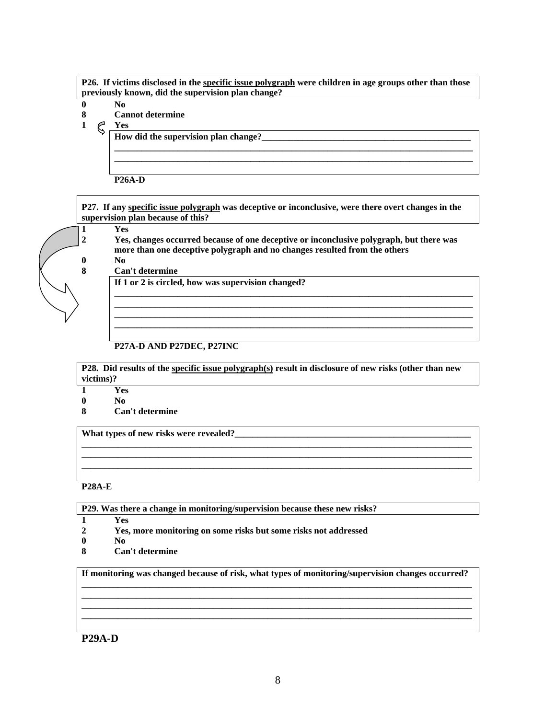**P26. If victims disclosed in the specific issue polygraph were children in age groups other than those previously known, did the supervision plan change?** 

- **0 No**
- **8** Cannot determine<br> $\frac{1}{\sqrt{2\pi}} \int_{0}^{\infty} \frac{\cos(\theta)}{1 + \cos(\theta)} d\theta$

**1 Yes** 

**How did the supervision plan change?\_\_\_\_\_\_\_\_\_\_\_\_\_\_\_\_\_\_\_\_\_\_\_\_\_\_\_\_\_\_\_\_\_\_\_\_\_\_\_\_\_\_\_\_\_\_**

 **P26A-D** 

**P27. If any specific issue polygraph was deceptive or inconclusive, were there overt changes in the supervision plan because of this?** 

**1 Yes** 

**2 Yes, changes occurred because of one deceptive or inconclusive polygraph, but there was more than one deceptive polygraph and no changes resulted from the others** 

**\_\_\_\_\_\_\_\_\_\_\_\_\_\_\_\_\_\_\_\_\_\_\_\_\_\_\_\_\_\_\_\_\_\_\_\_\_\_\_\_\_\_\_\_\_\_\_\_\_\_\_\_\_\_\_\_\_\_\_\_\_\_\_\_\_\_\_\_\_\_\_\_\_\_\_\_\_\_\_ \_\_\_\_\_\_\_\_\_\_\_\_\_\_\_\_\_\_\_\_\_\_\_\_\_\_\_\_\_\_\_\_\_\_\_\_\_\_\_\_\_\_\_\_\_\_\_\_\_\_\_\_\_\_\_\_\_\_\_\_\_\_\_\_\_\_\_\_\_\_\_\_\_\_\_\_\_\_\_ \_\_\_\_\_\_\_\_\_\_\_\_\_\_\_\_\_\_\_\_\_\_\_\_\_\_\_\_\_\_\_\_\_\_\_\_\_\_\_\_\_\_\_\_\_\_\_\_\_\_\_\_\_\_\_\_\_\_\_\_\_\_\_\_\_\_\_\_\_\_\_\_\_\_\_\_\_\_\_ \_\_\_\_\_\_\_\_\_\_\_\_\_\_\_\_\_\_\_\_\_\_\_\_\_\_\_\_\_\_\_\_\_\_\_\_\_\_\_\_\_\_\_\_\_\_\_\_\_\_\_\_\_\_\_\_\_\_\_\_\_\_\_\_\_\_\_\_\_\_\_\_\_\_\_\_\_\_\_**

**\_\_\_\_\_\_\_\_\_\_\_\_\_\_\_\_\_\_\_\_\_\_\_\_\_\_\_\_\_\_\_\_\_\_\_\_\_\_\_\_\_\_\_\_\_\_\_\_\_\_\_\_\_\_\_\_\_\_\_\_\_\_\_\_\_\_\_\_\_\_\_\_\_\_\_\_\_\_\_ \_\_\_\_\_\_\_\_\_\_\_\_\_\_\_\_\_\_\_\_\_\_\_\_\_\_\_\_\_\_\_\_\_\_\_\_\_\_\_\_\_\_\_\_\_\_\_\_\_\_\_\_\_\_\_\_\_\_\_\_\_\_\_\_\_\_\_\_\_\_\_\_\_\_\_\_\_\_\_**

**0 No 8 Can't determine** 

**If 1 or 2 is circled, how was supervision changed?**

**P27A-D AND P27DEC, P27INC** 

**P28. Did results of the specific issue polygraph(s) result in disclosure of new risks (other than new victims)?** 

**\_\_\_\_\_\_\_\_\_\_\_\_\_\_\_\_\_\_\_\_\_\_\_\_\_\_\_\_\_\_\_\_\_\_\_\_\_\_\_\_\_\_\_\_\_\_\_\_\_\_\_\_\_\_\_\_\_\_\_\_\_\_\_\_\_\_\_\_\_\_\_\_\_\_\_\_\_\_\_\_\_\_\_\_\_\_ \_\_\_\_\_\_\_\_\_\_\_\_\_\_\_\_\_\_\_\_\_\_\_\_\_\_\_\_\_\_\_\_\_\_\_\_\_\_\_\_\_\_\_\_\_\_\_\_\_\_\_\_\_\_\_\_\_\_\_\_\_\_\_\_\_\_\_\_\_\_\_\_\_\_\_\_\_\_\_\_\_\_\_\_\_\_ \_\_\_\_\_\_\_\_\_\_\_\_\_\_\_\_\_\_\_\_\_\_\_\_\_\_\_\_\_\_\_\_\_\_\_\_\_\_\_\_\_\_\_\_\_\_\_\_\_\_\_\_\_\_\_\_\_\_\_\_\_\_\_\_\_\_\_\_\_\_\_\_\_\_\_\_\_\_\_\_\_\_\_\_\_\_**

- **1 Yes**
- **0 No**
- **8 Can't determine**

What types of new risks were revealed?

**P28A-E** 

**P29. Was there a change in monitoring/supervision because these new risks?** 

**1 Yes** 

- **2 Yes, more monitoring on some risks but some risks not addressed**
- **0 No**
- **8 Can't determine**

**If monitoring was changed because of risk, what types of monitoring/supervision changes occurred? \_\_\_\_\_\_\_\_\_\_\_\_\_\_\_\_\_\_\_\_\_\_\_\_\_\_\_\_\_\_\_\_\_\_\_\_\_\_\_\_\_\_\_\_\_\_\_\_\_\_\_\_\_\_\_\_\_\_\_\_\_\_\_\_\_\_\_\_\_\_\_\_\_\_\_\_\_\_\_\_\_\_\_\_\_\_**

**\_\_\_\_\_\_\_\_\_\_\_\_\_\_\_\_\_\_\_\_\_\_\_\_\_\_\_\_\_\_\_\_\_\_\_\_\_\_\_\_\_\_\_\_\_\_\_\_\_\_\_\_\_\_\_\_\_\_\_\_\_\_\_\_\_\_\_\_\_\_\_\_\_\_\_\_\_\_\_\_\_\_\_\_\_\_ \_\_\_\_\_\_\_\_\_\_\_\_\_\_\_\_\_\_\_\_\_\_\_\_\_\_\_\_\_\_\_\_\_\_\_\_\_\_\_\_\_\_\_\_\_\_\_\_\_\_\_\_\_\_\_\_\_\_\_\_\_\_\_\_\_\_\_\_\_\_\_\_\_\_\_\_\_\_\_\_\_\_\_\_\_\_ \_\_\_\_\_\_\_\_\_\_\_\_\_\_\_\_\_\_\_\_\_\_\_\_\_\_\_\_\_\_\_\_\_\_\_\_\_\_\_\_\_\_\_\_\_\_\_\_\_\_\_\_\_\_\_\_\_\_\_\_\_\_\_\_\_\_\_\_\_\_\_\_\_\_\_\_\_\_\_\_\_\_\_\_\_\_**

**P29A-D**